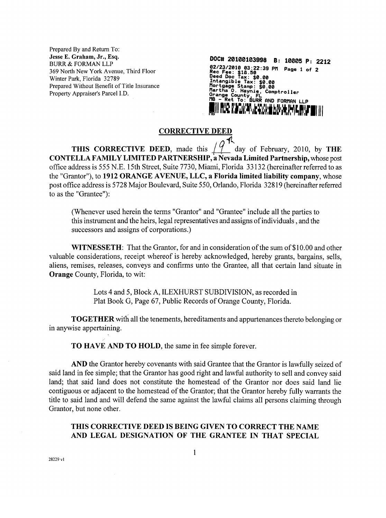Prepared By and Return To:<br>Jesse E. Graham, Jr., Esq. **JesseE.Graham, Jr.,Esq. DOC# <sup>20100103998</sup> B: <sup>10005</sup> P: <sup>2212</sup> BURR & FORMAN LLP 02/23/291903:22:39PM Page <sup>1</sup> of <sup>2</sup> 369NorthNew York Avenue,ThirdFloor Rec Pee: 18.5\* Winter Deed Doc ax: \$0.00 Park,Florida32789 IntangibleTax: 0.00** Prepared Without Benefit of Title Insurance<br>Property Appraiser's Parcel I.D.

Property Appraiser's Parcel I.D. **Connect and Connect and Connect Approximately, FLLC**<br> **Orange County** FLLC<br> **OR** a Polymer and County FLLC **MB - Ret To: AURR AND FORMAN LLP**

## **CORRECTIVE DEED**

**THIS CORRECTIVE** DEED, made this  $\left(\begin{array}{c} 0 \\ 4 \end{array}\right)$  day of February, 2010, by THE **CONTELLA FAMILY LIMITED PARTNERSHIP, a Nevada Limited Partnership,whose post officeaddressis555 N.E. 15th Street,Suite7730, Miami, Florida 33132 (hereinafterreferredtoas the "Grantor"),to 1912 ORANGE AVENUE, LLC, a Florida limitedliabilitycompany, whose postofficeaddressis5728 Major Boulevard,Suite550,Orlando,Florida32819 (hereinafterreferred to as the "Grantee"):**

**(Whenever used hereinthe terms "Grantor"and "Grantee"includeallthepartiesto thisinstrumentand theheirs,legalrepresentativesand assignsofindividuals,and the** successors and assigns of corporations.)

**WITNESSETH:** That the Grantor, for and in consideration of the sum of \$10.00 and other valuable considerations, receipt whereof is hereby acknowledged, hereby grants, bargains, sells, **aliens, remises, releases, conveys and confirms unto the Grantee, all that certain land situate in Orange County, Florida,to wit:**

> **Lots 4 and 5,Block A, ILEXHURST SUBDIVISION, as recorded in PlatBook G, Page 67, Public Records of Orange County, Florida.**

**TOGETHER** with all the tenements, hereditaments and appurtenances thereto belonging or **m anywise appertaming.**

**TO HAVE AND TO HOLD, the same in fee simple forever.**

**AND the Grantor hereby covenants with saidGrantee thatthe Grantor islawfullyseizedof saidland infeesimple;thatthe Grantor has good rightand lawfulauthorityto selland convey said land; that said land does not constitutethe homestead of the Grantor nor does said land lie contiguous** or adjacent to the homestead of the Grantor; that the Grantor hereby fully warrants the **title** to said land and will defend the same against the lawful claims all persons claiming through Grantor, but none other.

## **THIS CORRECTIVE DEED IS BEING GIVEN TO CORRECT THE NAME AND LEGAL DESIGNATION OF THE GRANTEE IN THAT SPECIAL**